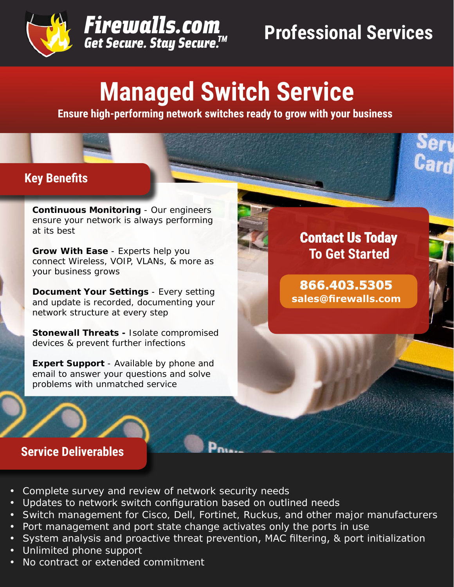



# **Managed Switch Service**

**Ensure high-performing network switches ready to grow with your business**

## **Key Benefits**

**Continuous Monitoring** - Our engineers ensure your network is always performing at its best

**Grow With Ease** - Experts help you connect Wireless, VOIP, VLANs, & more as your business grows

**Document Your Settings** - Every setting and update is recorded, documenting your network structure at every step

**Stonewall Threats -** Isolate compromised devices & prevent further infections

**Expert Support** - Available by phone and email to answer your questions and solve problems with unmatched service



**866.403.5305 sales@firewalls.com**

### **Service Deliverables**

- Complete survey and review of network security needs
- Updates to network switch configuration based on outlined needs
- Switch management for Cisco, Dell, Fortinet, Ruckus, and other major manufacturers
- Port management and port state change activates only the ports in use
- System analysis and proactive threat prevention, MAC filtering, & port initialization
- Unlimited phone support
- No contract or extended commitment